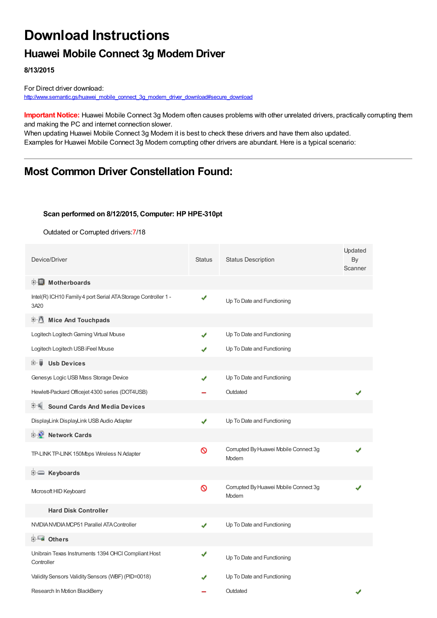## **Download Instructions**

## **Huawei Mobile Connect 3g Modem Driver**

**8/13/2015**

For Direct driver download: [http://www.semantic.gs/huawei\\_mobile\\_connect\\_3g\\_modem\\_driver\\_download#secure\\_download](http://www.semantic.gs/huawei_mobile_connect_3g_modem_driver_download#secure_download)

**Important Notice:** Huawei Mobile Connect 3g Modem often causes problems with other unrelated drivers, practically corrupting them and making the PC and internet connection slower.

When updating Huawei Mobile Connect 3g Modem it is best to check these drivers and have them also updated. Examples for Huawei Mobile Connect 3g Modem corrupting other drivers are abundant. Here is a typical scenario:

## **Most Common Driver Constellation Found:**

#### **Scan performed on 8/12/2015, Computer: HP HPE-310pt**

Outdated or Corrupted drivers:7/18

| Device/Driver                                                          | <b>Status</b> | <b>Status Description</b>                      | Updated<br>By<br>Scanner |
|------------------------------------------------------------------------|---------------|------------------------------------------------|--------------------------|
| <b>E</b> Motherboards                                                  |               |                                                |                          |
| Intel(R) ICH10 Family 4 port Serial ATA Storage Controller 1 -<br>3A20 | ✔             | Up To Date and Functioning                     |                          |
| <b>E</b> Mice And Touchpads                                            |               |                                                |                          |
| Logitech Logitech Gaming Virtual Mouse                                 | J             | Up To Date and Functioning                     |                          |
| Logitech Logitech USB iFeel Mouse                                      |               | Up To Date and Functioning                     |                          |
| <b>Usb Devices</b><br>田一尊                                              |               |                                                |                          |
| Genesys Logic USB Mass Storage Device                                  | ✔             | Up To Date and Functioning                     |                          |
| Hewlett-Packard Officejet 4300 series (DOT4USB)                        |               | Outdated                                       |                          |
| <b>Sound Cards And Media Devices</b>                                   |               |                                                |                          |
| DisplayLink DisplayLink USB Audio Adapter                              | ✔             | Up To Date and Functioning                     |                          |
| <b>Network Cards</b><br><b>ED-191</b>                                  |               |                                                |                          |
| TP-LINK TP-LINK 150Mbps Wireless N Adapter                             | Ø             | Corrupted By Huawei Mobile Connect 3g<br>Modem |                          |
| E Keyboards                                                            |               |                                                |                          |
| Microsoft HID Keyboard                                                 | $\infty$      | Corrupted By Huawei Mobile Connect 3g<br>Modem |                          |
| <b>Hard Disk Controller</b>                                            |               |                                                |                          |
| NVIDIA NVIDIA MCP51 Parallel ATA Controller                            | J             | Up To Date and Functioning                     |                          |
| 由 Others                                                               |               |                                                |                          |
| Unibrain Texas Instruments 1394 OHCI Compliant Host<br>Controller      |               | Up To Date and Functioning                     |                          |
| Validity Sensors Validity Sensors (WBF) (PID=0018)                     |               | Up To Date and Functioning                     |                          |
| Research In Motion BlackBerry                                          |               | Outdated                                       |                          |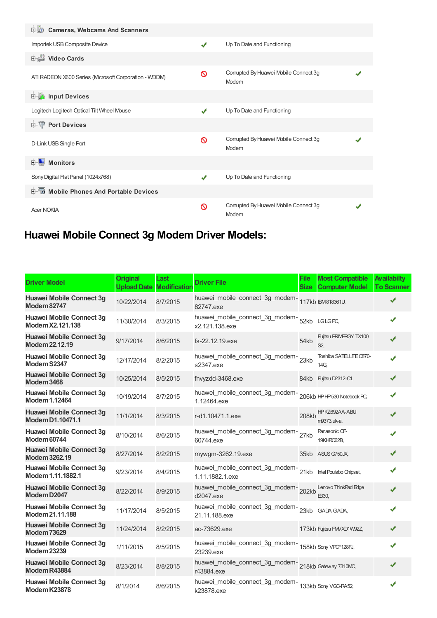| <b>D</b> Cameras, Webcams And Scanners               |              |                                                |  |
|------------------------------------------------------|--------------|------------------------------------------------|--|
| Importek USB Composite Device                        | $\checkmark$ | Up To Date and Functioning                     |  |
| <b>Dideo Cards</b>                                   |              |                                                |  |
| ATI RADEON X600 Series (Mcrosoft Corporation - WDDM) | ଷ            | Corrupted By Huawei Mobile Connect 3g<br>Modem |  |
| <b>E</b> Input Devices                               |              |                                                |  |
| Logitech Logitech Optical Tilt Wheel Mouse           | ✔            | Up To Date and Functioning                     |  |
| <b>E-TP Port Devices</b>                             |              |                                                |  |
| D-Link USB Single Port                               | Ø            | Corrupted By Huawei Mobile Connect 3g<br>Modem |  |
| <b>Monitors</b>                                      |              |                                                |  |
| Sony Digital Flat Panel (1024x768)                   | $\checkmark$ | Up To Date and Functioning                     |  |
| <b>E</b> Mobile Phones And Portable Devices          |              |                                                |  |
| <b>Acer NOKIA</b>                                    | ଷ            | Corrupted By Huawei Mobile Connect 3g<br>Modem |  |

# **Huawei Mobile Connect 3g Modem Driver Models:**

| <b>Driver Model</b>                             | <b>Original</b><br><b>Upload Date</b> | Last<br><b>Modification</b> | <b>Driver File</b>                                                       | <b>File</b><br><b>Size</b> | <b>Most Compatible</b><br><b>Computer Model</b> | <b>Availabilty</b><br><b>To Scanner</b> |
|-------------------------------------------------|---------------------------------------|-----------------------------|--------------------------------------------------------------------------|----------------------------|-------------------------------------------------|-----------------------------------------|
| Huawei Mobile Connect 3g<br><b>Modem 82747</b>  | 10/22/2014                            | 8/7/2015                    | huawei_mobile_connect_3g_modem-<br>82747.exe                             |                            | 117kb IBM818361U,                               |                                         |
| Huawei Mobile Connect 3g<br>Modem X2.121.138    | 11/30/2014                            | 8/3/2015                    | huawei_mobile_connect_3g_modem-<br>x2.121.138.exe                        |                            | 52kb LGLGPC,                                    | J                                       |
| Huawei Mobile Connect 3g<br>Modem 22.12.19      | 9/17/2014                             | 8/6/2015                    | fs-22.12.19.exe                                                          | 54kb                       | Fujitsu PRIMERGY TX100<br>S <sub>2</sub> .      |                                         |
| Huawei Mobile Connect 3g<br>Modem S2347         | 12/17/2014                            | 8/2/2015                    | huawei_mobile_connect_3g_modem-23kb<br>s2347.exe                         |                            | Toshiba SATELLITE C870-<br>14G.                 |                                         |
| Huawei Mobile Connect 3q<br><b>Modem 3468</b>   | 10/25/2014                            | 8/5/2015                    | fnvyzdd-3468.exe                                                         |                            | 84kb Fujitsu D2312-C1,                          | ✔                                       |
| Huawei Mobile Connect 3g<br>Modem 1.12464       | 10/19/2014                            | 8/7/2015                    | huawei_mobile_connect_3g_modem-206kb HPHP530 Notebook PC,<br>1.12464.exe |                            |                                                 |                                         |
| Huawei Mobile Connect 3g<br>Modem D1.10471.1    | 11/1/2014                             | 8/3/2015                    | r-d1.10471.1.exe                                                         | <b>208kb</b>               | HPKZ692AA-ABU<br>m9373.uk-a.                    | J                                       |
| Huawei Mobile Connect 3q<br><b>Modem 60744</b>  | 8/10/2014                             | 8/6/2015                    | huawei_mobile_connect_3g_modem-27kb<br>60744.exe                         |                            | Panasonic CF-<br>19KHRO62B,                     |                                         |
| Huawei Mobile Connect 3g<br>Modem 3262.19       | 8/27/2014                             | 8/2/2015                    | mywgm-3262.19.exe                                                        |                            | 35kb ASUS G750JX,                               | J                                       |
| Huawei Mobile Connect 3g<br>Modem 1.11.1882.1   | 9/23/2014                             | 8/4/2015                    | huawei_mobile_connect_3g_modem-21kb<br>1.11.1882.1.exe                   |                            | Intel Poulsbo Chipset,                          |                                         |
| Huawei Mobile Connect 3g<br>Modem D2047         | 8/22/2014                             | 8/9/2015                    | huawei_mobile_connect_3g_modem-202kb<br>d2047.exe                        |                            | Lenovo ThinkPad Edge<br>E330.                   |                                         |
| Huawei Mobile Connect 3g<br>Modem 21.11.188     | 11/17/2014                            | 8/5/2015                    | huawei_mobile_connect_3g_modem-23kb<br>21.11.188.exe                     |                            | <b>GIADA GIADA,</b>                             | J                                       |
| Huawei Mobile Connect 3g<br><b>Modem 73629</b>  | 11/24/2014                            | 8/2/2015                    | ao-73629.exe                                                             |                            | 173kb Fujitsu FMVXD1W92Z,                       |                                         |
| Huawei Mobile Connect 3g<br><b>Modem 23239</b>  | 1/11/2015                             | 8/5/2015                    | huawei_mobile_connect_3g_modem-<br>158kb Sony VPCF128FJ,<br>23239.exe    |                            |                                                 |                                         |
| Huawei Mobile Connect 3g<br><b>Modem R43884</b> | 8/23/2014                             | 8/8/2015                    | huawei_mobile_connect_3g_modem-218kb Gateway 7310MC,<br>r43884.exe       |                            |                                                 |                                         |
| Huawei Mobile Connect 3g<br><b>Modem K23878</b> | 8/1/2014                              | 8/6/2015                    | huawei_mobile_connect_3g_modem-<br>k23878.exe                            |                            | 133kb Sony VGC-RA52,                            |                                         |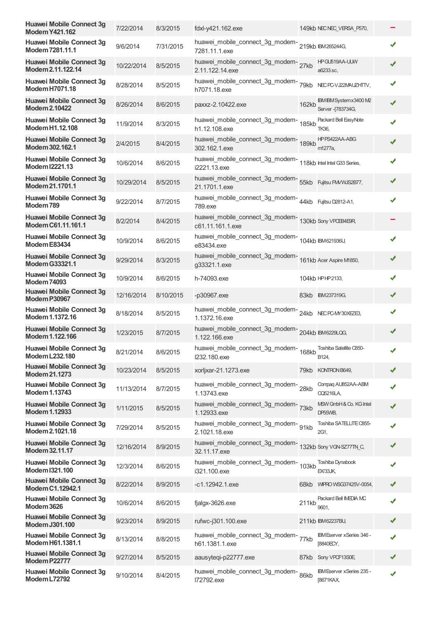| Huawei Mobile Connect 3g<br><b>Modem Y421.162</b>  | 7/22/2014  | 8/3/2015  | fdxl-y421.162.exe                                                                |       | 149kb NECNEC VERSA P570,                       |   |
|----------------------------------------------------|------------|-----------|----------------------------------------------------------------------------------|-------|------------------------------------------------|---|
| Huawei Mobile Connect 3g<br>Modem 7281.11.1        | 9/6/2014   | 7/31/2015 | huawei_mobile_connect_3g_modem-219kb IBM265244G,<br>7281.11.1.exe                |       |                                                | ✔ |
| Huawei Mobile Connect 3g<br>Modem 2.11.122.14      | 10/22/2014 | 8/5/2015  | huawei_mobile_connect_3g_modem-27kb<br>2.11.122.14.exe                           |       | HPGU519AA-UUW<br>a6233.sc.                     | ✔ |
| Huawei Mobile Connect 3q<br><b>Modem H7071.18</b>  | 8/28/2014  | 8/5/2015  | huawei_mobile_connect_3g_modem-<br>h7071.18.exe                                  | 79kb  | NEC PC-VJ22MAUZHTTV,                           | ✔ |
| Huawei Mobile Connect 3g<br><b>Modem 2.10422</b>   | 8/26/2014  | 8/6/2015  | paxxz-2.10422.exe                                                                | 162kb | IBM IBM System x 3400 M2<br>Server - [783734G, | ✔ |
| Huawei Mobile Connect 3g<br>Modem H1.12.108        | 11/9/2014  | 8/3/2015  | huawei_mobile_connect_3g_modem-<br>185kb<br>h1.12.108.exe                        |       | Packard Bell EasyNote<br>TK36,                 | J |
| <b>Huawei Mobile Connect 3g</b><br>Modem 302.162.1 | 2/4/2015   | 8/4/2015  | huawei_mobile_connect_3g_modem-<br>189kb<br>302.162.1.exe                        |       | HPPS422AA-ABG<br>m1277a,                       | ✔ |
| Huawei Mobile Connect 3g<br>Modem I2221.13         | 10/6/2014  | 8/6/2015  | huawei_mobile_connect_3g_modem-<br>118kb Intel Intel G33 Series,<br>i2221.13.exe |       |                                                | ✔ |
| Huawei Mobile Connect 3g<br>Modem 21.1701.1        | 10/29/2014 | 8/5/2015  | huawei_mobile_connect_3g_modem-<br>55kb<br>21.1701.1.exe                         |       | Fujitsu FMVWJS2B77,                            | ✔ |
| Huawei Mobile Connect 3g<br>Modem 789              | 9/22/2014  | 8/7/2015  | huawei_mobile_connect_3g_modem-44kb FujitsuD2812-A1,<br>789.exe                  |       |                                                | ✔ |
| Huawei Mobile Connect 3g<br>Modem C61.11.161.1     | 8/2/2014   | 8/4/2015  | huawei_mobile_connect_3g_modem-<br>130kb Sony VPCE4E9R<br>c61.11.161.1.exe       |       |                                                |   |
| Huawei Mobile Connect 3g<br>Modem E83434           | 10/9/2014  | 8/6/2015  | huawei_mobile_connect_3g_modem-<br>104kb IBM621936U,<br>e83434.exe               |       |                                                | ✔ |
| Huawei Mobile Connect 3g<br><b>Modem G33321.1</b>  | 9/29/2014  | 8/3/2015  | huawei_mobile_connect_3g_modem-<br>g33321.1.exe                                  |       | 161kb Acer Aspire M1850,                       | ✔ |
| Huawei Mobile Connect 3g<br><b>Modem 74093</b>     | 10/9/2014  | 8/6/2015  | h-74093.exe                                                                      |       | 104kb HPHP2133,                                |   |
| Huawei Mobile Connect 3g<br><b>Modem P30967</b>    | 12/16/2014 | 8/10/2015 | -p30967.exe                                                                      |       | 83kb IBM237319G,                               | ✔ |
| Huawei Mobile Connect 3g<br>Modem 1.1372.16        | 8/18/2014  | 8/5/2015  | huawei_mobile_connect_3g_modem-24kb NECPC-MY30XEZE3,<br>1.1372.16.exe            |       |                                                | J |
| Huawei Mobile Connect 3g<br>Modem 1.122.166        | 1/23/2015  | 8/7/2015  | huawei_mobile_connect_3g_modem-204kb BM6229LQG,<br>1.122.166.exe                 |       |                                                | ✔ |
| Huawei Mobile Connect 3g<br><b>Modem L232.180</b>  | 8/21/2014  | 8/6/2015  | huawei_mobile_connect_3g_modem-<br>168kb<br>1232.180.exe                         |       | Toshiba Satellite C850-<br>B124,               | s |
| Huawei Mobile Connect 3q<br>Modem 21.1273          | 10/23/2014 | 8/5/2015  | xorljxar-21.1273.exe                                                             | 79kb  | KONTRON B649,                                  | ✔ |
| Huawei Mobile Connect 3g<br>Modem 1.13743          | 11/13/2014 | 8/7/2015  | huawei_mobile_connect_3g_modem-28kb<br>1.13743.exe                               |       | Compag AU852AA-ABM<br><b>CQ5216LA,</b>         |   |
| Huawei Mobile Connect 3g<br>Modem 1.12933          | 1/11/2015  | 8/5/2015  | huawei_mobile_connect_3g_modem-73kb<br>1.12933.exe                               |       | MSW GmbH & Co. KG Intel<br>DP55WB,             | ✔ |
| Huawei Mobile Connect 3g<br>Modem 2.1021.18        | 7/29/2014  | 8/5/2015  | huawei_mobile_connect_3g_modem- 91kb<br>2.1021.18.exe                            |       | Toshiba SATELLITE C855-<br>2G1,                | ✔ |
| Huawei Mobile Connect 3g<br>Modem 32.11.17         | 12/16/2014 | 8/9/2015  | huawei_mobile_connect_3g_modem-<br>132kb Sony VGN-SZ77TN_C,<br>32.11.17.exe      |       |                                                |   |
| Huawei Mobile Connect 3g<br>Modem I321.100         | 12/3/2014  | 8/6/2015  | huawei_mobile_connect_3g_modem-<br>103kb<br>i321.100.exe                         |       | Toshiba Dynabook<br>EX/33JK,                   |   |
| Huawei Mobile Connect 3g<br>Modem C1.12942.1       | 8/22/2014  | 8/9/2015  | $-c1.12942.1exc$                                                                 | 68kb  | WIPRO WSG37425V-0054,                          | ✔ |
| Huawei Mobile Connect 3g<br><b>Modem 3626</b>      | 10/6/2014  | 8/6/2015  | fjalgx-3626.exe                                                                  | 211kb | Packard Bell IMEDIA MC<br>9601,                |   |
| Huawei Mobile Connect 3g<br>Modem J301.100         | 9/23/2014  | 8/9/2015  | rufwc-j301.100.exe                                                               |       | 211kb IBM62237BU,                              | ✔ |
| Huawei Mobile Connect 3g<br>Modem H61.1381.1       | 8/13/2014  | 8/8/2015  | huawei_mobile_connect_3g_modem- 77kb<br>h61.1381.1.exe                           |       | <b>IBM Eserver xSeries 346 -</b><br>[8840ECY,  |   |
| Huawei Mobile Connect 3g<br>Modem P22777           | 9/27/2014  | 8/5/2015  | aausyteqi-p22777.exe                                                             | 87kb  | Sony VPCF13S0E,                                | ✔ |
| Huawei Mobile Connect 3g<br><b>Modem L72792</b>    | 9/10/2014  | 8/4/2015  | huawei_mobile_connect_3g_modem-86kb<br>172792.exe                                |       | <b>IBM Eserver xSeries 235 -</b><br>[8671KAX,  | ✔ |